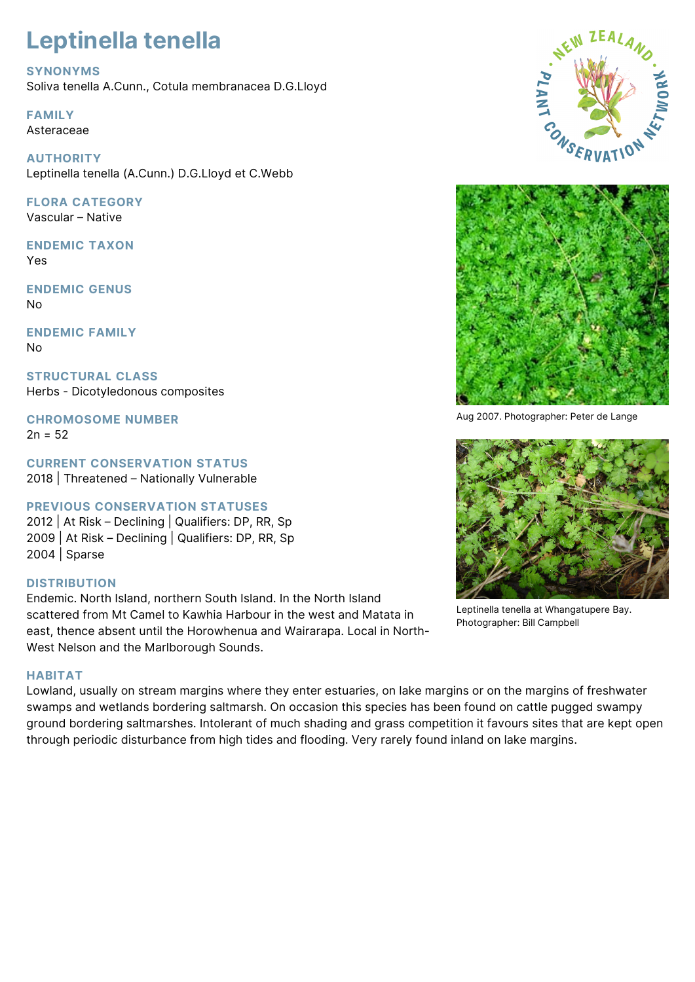# **Leptinella tenella**

# **SYNONYMS**

Soliva tenella A.Cunn., Cotula membranacea D.G.Lloyd

**FAMILY** Asteraceae

**AUTHORITY** Leptinella tenella (A.Cunn.) D.G.Lloyd et C.Webb

**FLORA CATEGORY** Vascular – Native

**ENDEMIC TAXON** Yes

**ENDEMIC GENUS** No

**ENDEMIC FAMILY** No

**STRUCTURAL CLASS** Herbs - Dicotyledonous composites

**CHROMOSOME NUMBER**  $2n = 52$ 

**CURRENT CONSERVATION STATUS** 2018 | Threatened – Nationally Vulnerable

# **PREVIOUS CONSERVATION STATUSES**

2012 | At Risk – Declining | Qualifiers: DP, RR, Sp 2009 | At Risk – Declining | Qualifiers: DP, RR, Sp 2004 | Sparse

# **DISTRIBUTION**

Endemic. North Island, northern South Island. In the North Island scattered from Mt Camel to Kawhia Harbour in the west and Matata in east, thence absent until the Horowhenua and Wairarapa. Local in North-West Nelson and the Marlborough Sounds.

## **HABITAT**

Lowland, usually on stream margins where they enter estuaries, on lake margins or on the margins of freshwater swamps and wetlands bordering saltmarsh. On occasion this species has been found on cattle pugged swampy ground bordering saltmarshes. Intolerant of much shading and grass competition it favours sites that are kept open through periodic disturbance from high tides and flooding. Very rarely found inland on lake margins.





Aug 2007. Photographer: Peter de Lange



Leptinella tenella at Whangatupere Bay. Photographer: Bill Campbell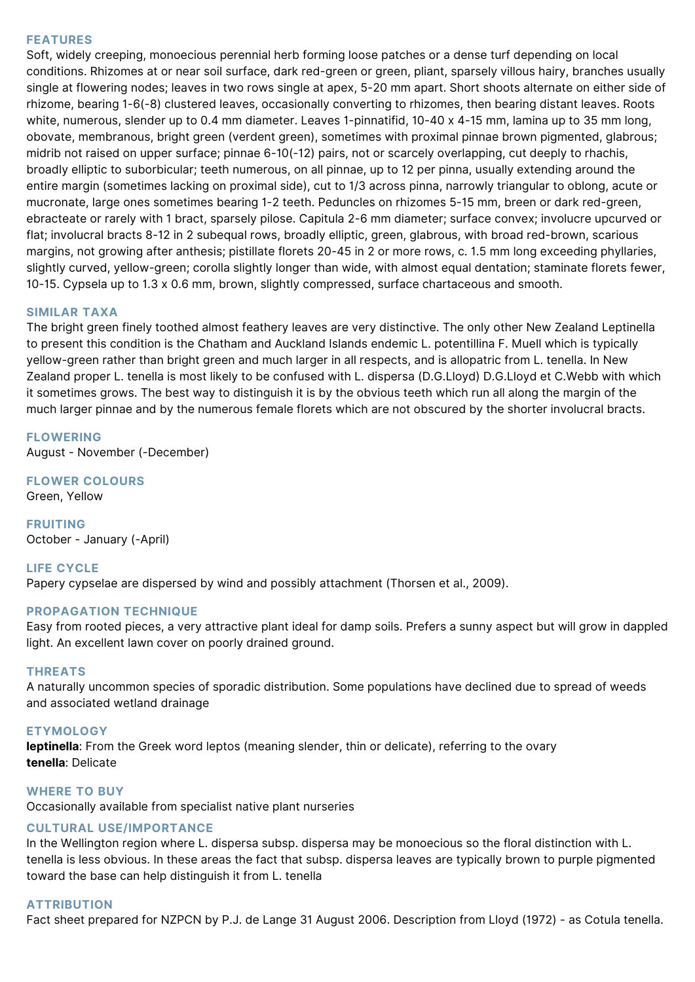### **FEATURES**

Soft, widely creeping, monoecious perennial herb forming loose patches or a dense turf depending on local conditions. Rhizomes at or near soil surface, dark red-green or green, pliant, sparsely villous hairy, branches usually single at flowering nodes; leaves in two rows single at apex, 5-20 mm apart. Short shoots alternate on either side of rhizome, bearing 1-6(-8) clustered leaves, occasionally converting to rhizomes, then bearing distant leaves. Roots white, numerous, slender up to 0.4 mm diameter. Leaves 1-pinnatifid, 10-40 x 4-15 mm, lamina up to 35 mm long, obovate, membranous, bright green (verdent green), sometimes with proximal pinnae brown pigmented, glabrous; midrib not raised on upper surface; pinnae 6-10(-12) pairs, not or scarcely overlapping, cut deeply to rhachis, broadly elliptic to suborbicular; teeth numerous, on all pinnae, up to 12 per pinna, usually extending around the entire margin (sometimes lacking on proximal side), cut to 1/3 across pinna, narrowly triangular to oblong, acute or mucronate, large ones sometimes bearing 1-2 teeth. Peduncles on rhizomes 5-15 mm, breen or dark red-green, ebracteate or rarely with 1 bract, sparsely pilose. Capitula 2-6 mm diameter; surface convex; involucre upcurved or flat; involucral bracts 8-12 in 2 subequal rows, broadly elliptic, green, glabrous, with broad red-brown, scarious margins, not growing after anthesis; pistillate florets 20-45 in 2 or more rows, c. 1.5 mm long exceeding phyllaries, slightly curved, yellow-green; corolla slightly longer than wide, with almost equal dentation; staminate florets fewer, 10-15. Cypsela up to 1.3 x 0.6 mm, brown, slightly compressed, surface chartaceous and smooth.

#### **SIMILAR TAXA**

The bright green finely toothed almost feathery leaves are very distinctive. The only other New Zealand Leptinella to present this condition is the Chatham and Auckland Islands endemic L. potentillina F. Muell which is typically yellow-green rather than bright green and much larger in all respects, and is allopatric from L. tenella. In New Zealand proper L. tenella is most likely to be confused with L. dispersa (D.G.Lloyd) D.G.Lloyd et C.Webb with which it sometimes grows. The best way to distinguish it is by the obvious teeth which run all along the margin of the much larger pinnae and by the numerous female florets which are not obscured by the shorter involucral bracts.

**FLOWERING** August - November (-December)

**FLOWER COLOURS** Green, Yellow

**FRUITING** October - January (-April)

## **LIFE CYCLE**

Papery cypselae are dispersed by wind and possibly attachment (Thorsen et al., 2009).

#### **PROPAGATION TECHNIQUE**

Easy from rooted pieces, a very attractive plant ideal for damp soils. Prefers a sunny aspect but will grow in dappled light. An excellent lawn cover on poorly drained ground.

#### **THREATS**

A naturally uncommon species of sporadic distribution. Some populations have declined due to spread of weeds and associated wetland drainage

#### **ETYMOLOGY**

**leptinella**: From the Greek word leptos (meaning slender, thin or delicate), referring to the ovary **tenella**: Delicate

#### **WHERE TO BUY**

Occasionally available from specialist native plant nurseries

# **CULTURAL USE/IMPORTANCE**

In the Wellington region where L. dispersa subsp. dispersa may be monoecious so the floral distinction with L. tenella is less obvious. In these areas the fact that subsp. dispersa leaves are typically brown to purple pigmented toward the base can help distinguish it from L. tenella

# **ATTRIBUTION**

Fact sheet prepared for NZPCN by P.J. de Lange 31 August 2006. Description from Lloyd (1972) - as Cotula tenella.